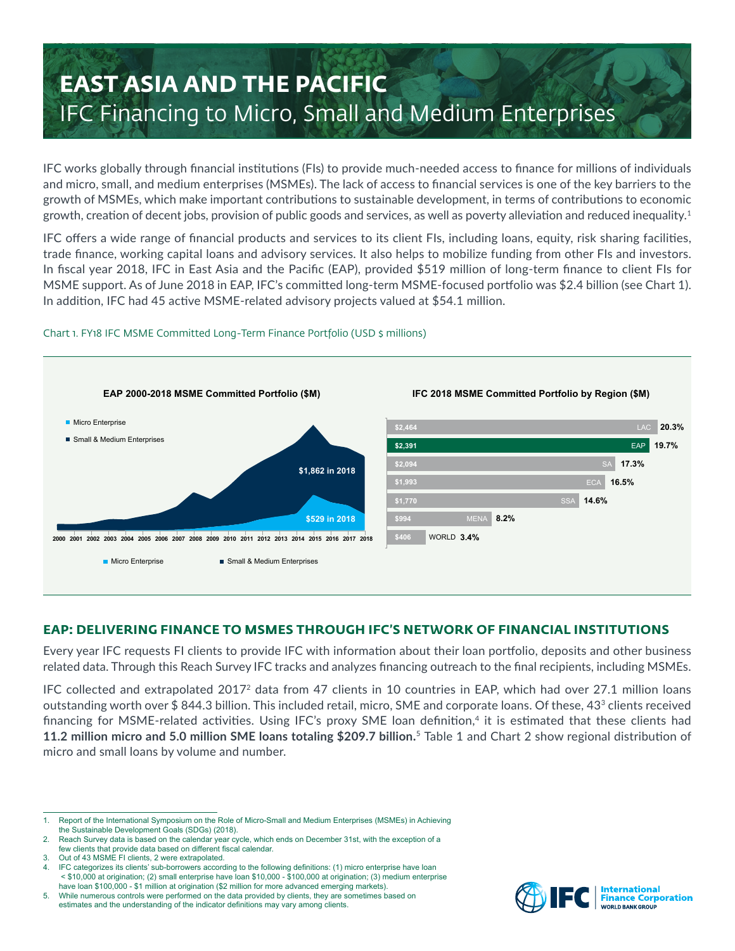# **EAST ASIA AND THE PACIFIC** IFC Financing to Micro, Small and Medium Enterprises

IFC works globally through financial institutions (FIs) to provide much-needed access to finance for millions of individuals and micro, small, and medium enterprises (MSMEs). The lack of access to financial services is one of the key barriers to the growth of MSMEs, which make important contributions to sustainable development, in terms of contributions to economic growth, creation of decent jobs, provision of public goods and services, as well as poverty alleviation and reduced inequality.<sup>1</sup>

IFC offers a wide range of financial products and services to its client FIs, including loans, equity, risk sharing facilities, trade finance, working capital loans and advisory services. It also helps to mobilize funding from other FIs and investors. In fiscal year 2018, IFC in East Asia and the Pacific (EAP), provided \$519 million of long-term finance to client FIs for MSME support. As of June 2018 in EAP, IFC's committed long-term MSME-focused portfolio was \$2.4 billion (see Chart 1). In addition, IFC had 45 active MSME-related advisory projects valued at \$54.1 million.



## Chart 1. FY18 IFC MSME Committed Long-Term Finance Portfolio (USD \$ millions)

## **EAP: DELIVERING FINANCE TO MSMES THROUGH IFC'S NETWORK OF FINANCIAL INSTITUTIONS**

Every year IFC requests FI clients to provide IFC with information about their loan portfolio, deposits and other business related data. Through this Reach Survey IFC tracks and analyzes financing outreach to the final recipients, including MSMEs.

IFC collected and extrapolated 20172 data from 47 clients in 10 countries in EAP, which had over 27.1 million loans outstanding worth over \$ 844.3 billion. This included retail, micro, SME and corporate loans. Of these, 433 clients received financing for MSME-related activities. Using IFC's proxy SME loan definition,<sup>4</sup> it is estimated that these clients had **11.2 million micro and 5.0 million SME loans totaling \$209.7 billion.** <sup>5</sup> Table 1 and Chart 2 show regional distribution of micro and small loans by volume and number.



<sup>1.</sup> Report of the International Symposium on the Role of Micro-Small and Medium Enterprises (MSMEs) in Achieving the Sustainable Development Goals (SDGs) (2018).

<sup>2.</sup> Reach Survey data is based on the calendar year cycle, which ends on December 31st, with the exception of a few clients that provide data based on different fiscal calendar.

Out of 43 MSME FI clients, 2 were extrapolated

<sup>4.</sup> IFC categorizes its clients' sub-borrowers according to the following definitions: (1) micro enterprise have loan < \$10,000 at origination; (2) small enterprise have loan \$10,000 - \$100,000 at origination; (3) medium enterprise have loan \$100,000 - \$1 million at origination (\$2 million for more advanced emerging markets).

<sup>5.</sup> While numerous controls were performed on the data provided by clients, they are sometimes based on estimates and the understanding of the indicator definitions may vary among clients.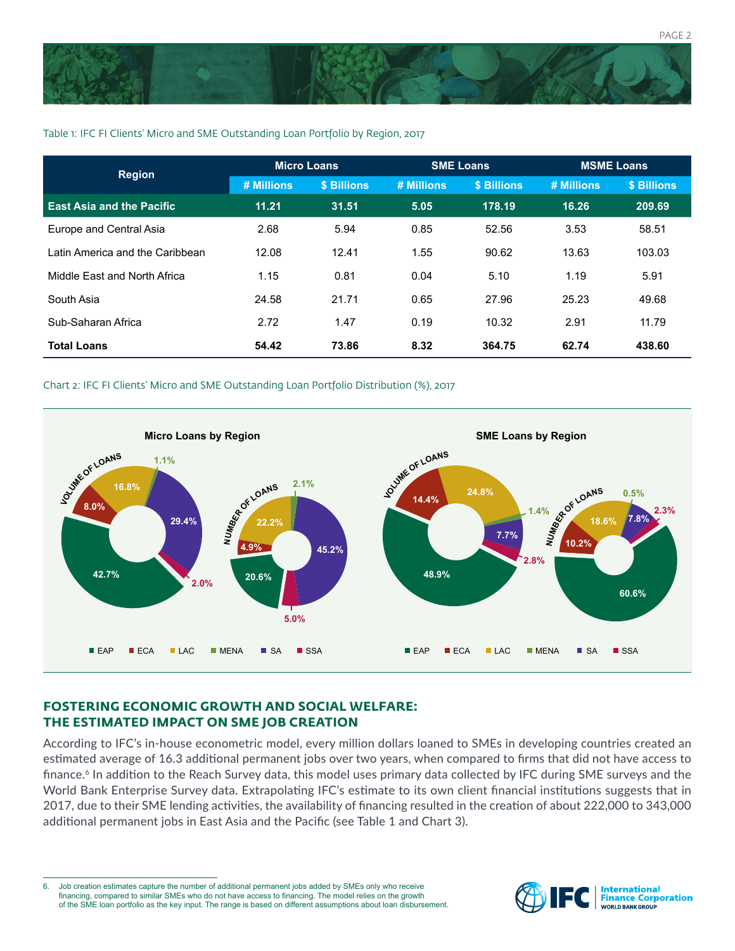

#### Table 1: IFC FI Clients' Micro and SME Outstanding Loan Portfolio by Region, 2017

| <b>Region</b>                    | <b>Micro Loans</b> |             | <b>SME Loans</b> |             | <b>MSME Loans</b> |             |
|----------------------------------|--------------------|-------------|------------------|-------------|-------------------|-------------|
|                                  | # Millions         | \$ Billions | # Millions       | \$ Billions | # Millions        | \$ Billions |
| <b>East Asia and the Pacific</b> | 11.21              | 31.51       | 5.05             | 178.19      | 16.26             | 209.69      |
| Europe and Central Asia          | 2.68               | 5.94        | 0.85             | 52.56       | 3.53              | 58.51       |
| Latin America and the Caribbean  | 12.08              | 12.41       | 1.55             | 90.62       | 13.63             | 103.03      |
| Middle East and North Africa     | 1.15               | 0.81        | 0.04             | 5.10        | 1.19              | 5.91        |
| South Asia                       | 24.58              | 21.71       | 0.65             | 27.96       | 25.23             | 49.68       |
| Sub-Saharan Africa               | 2.72               | 1.47        | 0.19             | 10.32       | 2.91              | 11.79       |
| <b>Total Loans</b>               | 54.42              | 73.86       | 8.32             | 364.75      | 62.74             | 438.60      |

#### Chart 2: IFC FI Clients' Micro and SME Outstanding Loan Portfolio Distribution (%), 2017



## **FOSTERING ECONOMIC GROWTH AND SOCIAL WELFARE: THE ESTIMATED IMPACT ON SME JOB CREATION**

According to IFC's in-house econometric model, every million dollars loaned to SMEs in developing countries created an estimated average of 16.3 additional permanent jobs over two years, when compared to firms that did not have access to finance.<sup>6</sup> In addition to the Reach Survey data, this model uses primary data collected by IFC during SME surveys and the World Bank Enterprise Survey data. Extrapolating IFC's estimate to its own client financial institutions suggests that in 2017, due to their SME lending activities, the availability of financing resulted in the creation of about 222,000 to 343,000 additional permanent jobs in East Asia and the Pacific (see Table 1 and Chart 3).

6. Job creation estimates capture the number of additional permanent jobs added by SMEs only who receive financing, compared to similar SMEs who do not have access to financing. The model relies on the growth of the SME loan portfolio as the key input. The range is based on different assumptions about loan disbursement.

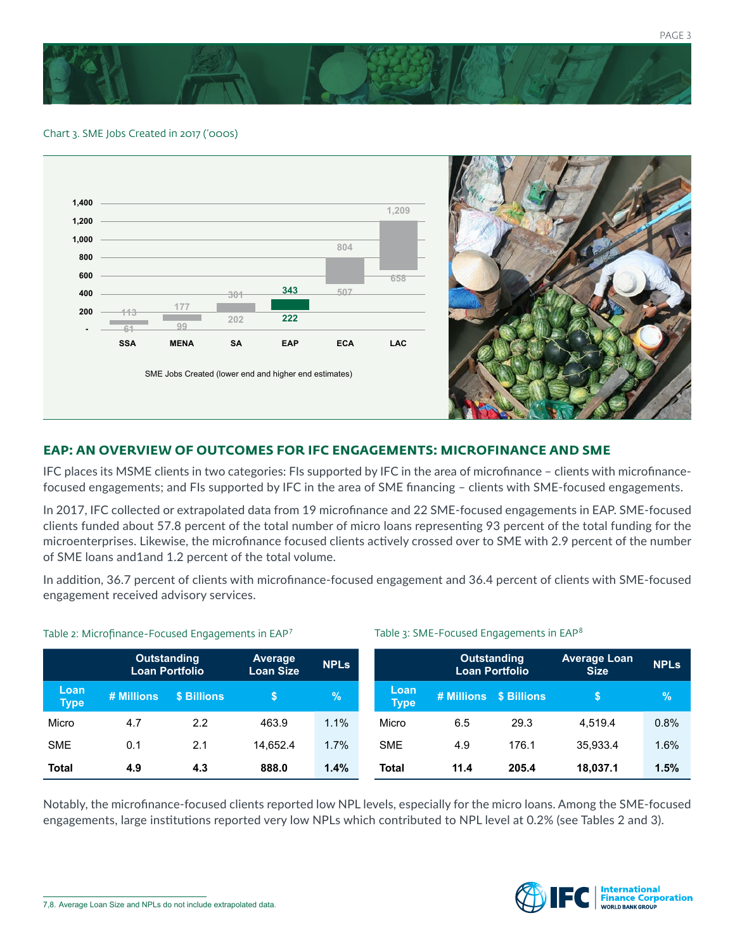

#### Chart 3. SME Jobs Created in 2017 ('000s)





## **EAP: AN OVERVIEW OF OUTCOMES FOR IFC ENGAGEMENTS: MICROFINANCE AND SME**

IFC places its MSME clients in two categories: FIs supported by IFC in the area of microfinance – clients with microfinancefocused engagements; and FIs supported by IFC in the area of SME financing – clients with SME-focused engagements.

In 2017, IFC collected or extrapolated data from 19 microfinance and 22 SME-focused engagements in EAP. SME-focused clients funded about 57.8 percent of the total number of micro loans representing 93 percent of the total funding for the microenterprises. Likewise, the microfinance focused clients actively crossed over to SME with 2.9 percent of the number of SME loans and1and 1.2 percent of the total volume.

In addition, 36.7 percent of clients with microfinance-focused engagement and 36.4 percent of clients with SME-focused engagement received advisory services.

Table 3: SME-Focused Engagements in EAP<sup>8</sup>

|                     |            | Outstanding<br><b>Loan Portfolio</b> | <b>Average</b><br><b>Loan Size</b> | <b>NPLs</b> |                     | <b>Outstanding</b><br>Loan Portfolio |                   | <b>Average Loan</b><br><b>Size</b> | <b>NPLs</b> |
|---------------------|------------|--------------------------------------|------------------------------------|-------------|---------------------|--------------------------------------|-------------------|------------------------------------|-------------|
| Loan<br><b>Type</b> | # Millions | \$ Billions                          |                                    | $\%$        | Loan<br><b>Type</b> | # Millions                           | <b>S</b> Billions |                                    | $\sqrt{2}$  |
| Micro               | 4.7        | 2.2                                  | 463.9                              | 1.1%        | Micro               | 6.5                                  | 29.3              | 4.519.4                            | 0.8%        |
| <b>SME</b>          | 0.1        | 2.1                                  | 14.652.4                           | 1.7%        | <b>SME</b>          | 4.9                                  | 176.1             | 35,933.4                           | 1.6%        |
| <b>Total</b>        | 4.9        | 4.3                                  | 888.0                              | 1.4%        | <b>Total</b>        | 11.4                                 | 205.4             | 18,037.1                           | 1.5%        |

#### Table 2: Microfinance-Focused Engagements in EAP<sup>7</sup>

Notably, the microfinance-focused clients reported low NPL levels, especially for the micro loans. Among the SME-focused engagements, large institutions reported very low NPLs which contributed to NPL level at 0.2% (see Tables 2 and 3).



<sup>7,8.</sup> Average Loan Size and NPLs do not include extrapolated data.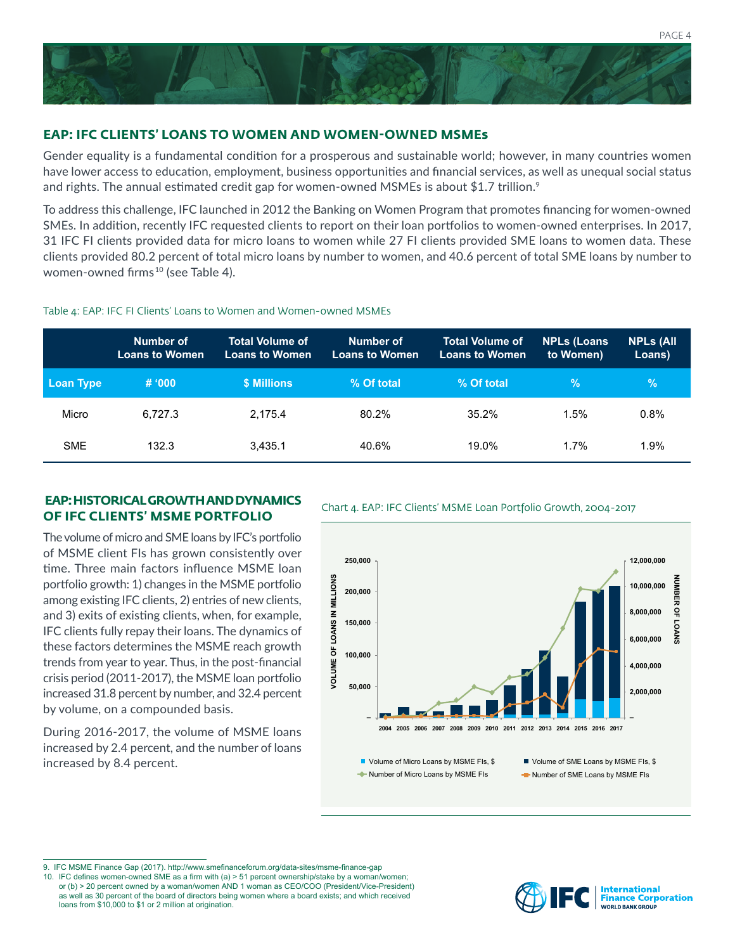

## **EAP: IFC CLIENTS' LOANS TO WOMEN AND WOMEN-OWNED MSMEs**

Gender equality is a fundamental condition for a prosperous and sustainable world; however, in many countries women have lower access to education, employment, business opportunities and financial services, as well as unequal social status and rights. The annual estimated credit gap for women-owned MSMEs is about \$1.7 trillion.<sup>9</sup>

To address this challenge, IFC launched in 2012 the Banking on Women Program that promotes financing for women-owned SMEs. In addition, recently IFC requested clients to report on their loan portfolios to women-owned enterprises. In 2017, 31 IFC FI clients provided data for micro loans to women while 27 FI clients provided SME loans to women data. These clients provided 80.2 percent of total micro loans by number to women, and 40.6 percent of total SME loans by number to women-owned firms<sup>10</sup> (see Table 4).

#### Table 4: EAP: IFC FI Clients' Loans to Women and Women-owned MSMEs

|                  | Number of<br><b>Loans to Women</b> | <b>Total Volume of</b><br><b>Loans to Women</b> | Number of<br><b>Loans to Women</b> | <b>Total Volume of</b><br><b>Loans to Women</b> | <b>NPLs (Loans</b><br>to Women) | <b>NPLs (All</b><br>Loans) |
|------------------|------------------------------------|-------------------------------------------------|------------------------------------|-------------------------------------------------|---------------------------------|----------------------------|
| <b>Loan Type</b> | # 000                              | \$ Millions                                     | % Of total                         | % Of total                                      | <b>Vol.</b>                     | $\frac{9}{6}$              |
| Micro            | 6.727.3                            | 2.175.4                                         | 80.2%                              | 35.2%                                           | 1.5%                            | 0.8%                       |
| <b>SME</b>       | 132.3                              | 3.435.1                                         | 40.6%                              | 19.0%                                           | 1.7%                            | 1.9%                       |

#### **EAP: HISTORICAL GROWTH AND DYNAMICS**<br>Chart 4. EAP: IFC Clients' MSME Loan Portfolio Growth, 2004-2017 **OF IFC CLIENTS' MSME PORTFOLIO**

The volume of micro and SME loans by IFC's portfolio of MSME client FIs has grown consistently over time. Three main factors influence MSME loan portfolio growth: 1) changes in the MSME portfolio among existing IFC clients, 2) entries of new clients, and 3) exits of existing clients, when, for example, IFC clients fully repay their loans. The dynamics of these factors determines the MSME reach growth trends from year to year. Thus, in the post-financial crisis period (2011-2017), the MSME loan portfolio increased 31.8 percent by number, and 32.4 percent by volume, on a compounded basis.

During 2016-2017, the volume of MSME loans increased by 2.4 percent, and the number of loans increased by 8.4 percent. Volume of Micro Loans by MSME FIs, \$





9. IFC MSME Finance Gap (2017). http://www.smefinanceforum.org/data-sites/msme-finance-gap

10. IFC defines women-owned SME as a firm with (a) > 51 percent ownership/stake by a woman/women; or (b) > 20 percent owned by a woman/women AND 1 woman as CEO/COO (President/Vice-President) as well as 30 percent of the board of directors being women where a board exists; and which received loans from \$10,000 to \$1 or 2 million at origination.

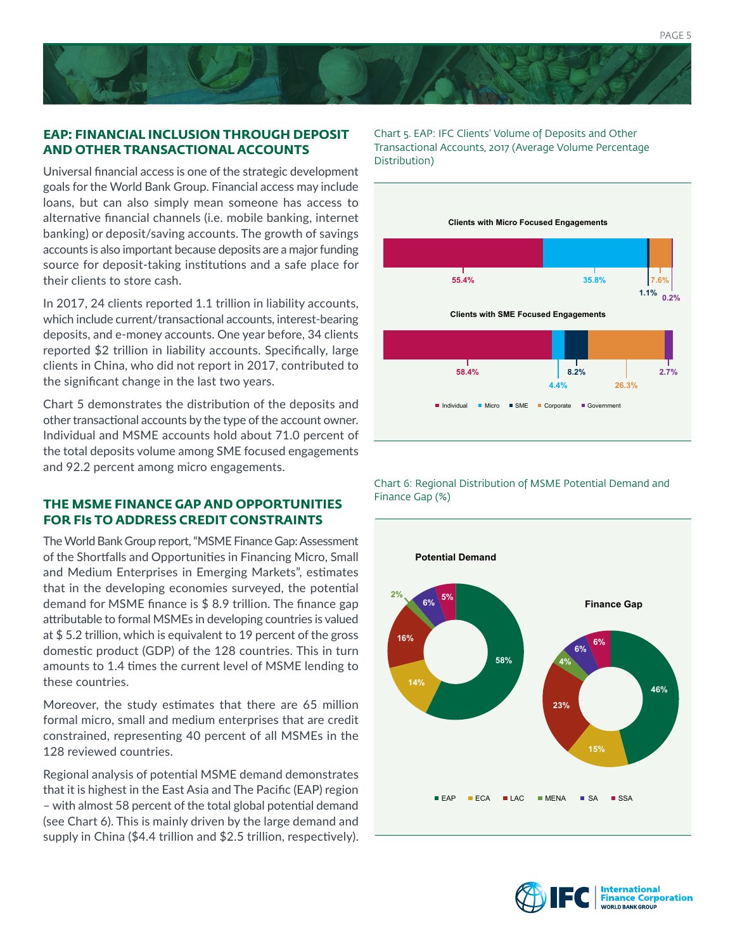#### **EAP: FINANCIAL INCLUSION THROUGH DEPOSIT AND OTHER TRANSACTIONAL ACCOUNTS**

Universal financial access is one of the strategic development goals for the World Bank Group. Financial access may include loans, but can also simply mean someone has access to alternative financial channels (i.e. mobile banking, internet banking) or deposit/saving accounts. The growth of savings accounts is also important because deposits are a major funding source for deposit-taking institutions and a safe place for their clients to store cash.

In 2017, 24 clients reported 1.1 trillion in liability accounts, which include current/transactional accounts, interest-bearing deposits, and e-money accounts. One year before, 34 clients reported \$2 trillion in liability accounts. Specifically, large clients in China, who did not report in 2017, contributed to the significant change in the last two years.

Chart 5 demonstrates the distribution of the deposits and other transactional accounts by the type of the account owner. Individual and MSME accounts hold about 71.0 percent of the total deposits volume among SME focused engagements and 92.2 percent among micro engagements.

## **THE MSME FINANCE GAP AND OPPORTUNITIES FOR FIs TO ADDRESS CREDIT CONSTRAINTS**

The World Bank Group report, "MSME Finance Gap: Assessment of the Shortfalls and Opportunities in Financing Micro, Small and Medium Enterprises in Emerging Markets", estimates that in the developing economies surveyed, the potential demand for MSME finance is \$ 8.9 trillion. The finance gap attributable to formal MSMEs in developing countries is valued at \$ 5.2 trillion, which is equivalent to 19 percent of the gross domestic product (GDP) of the 128 countries. This in turn amounts to 1.4 times the current level of MSME lending to these countries.

Moreover, the study estimates that there are 65 million formal micro, small and medium enterprises that are credit constrained, representing 40 percent of all MSMEs in the 128 reviewed countries.

Regional analysis of potential MSME demand demonstrates that it is highest in the East Asia and The Pacific (EAP) region – with almost 58 percent of the total global potential demand (see Chart 6). This is mainly driven by the large demand and supply in China (\$4.4 trillion and \$2.5 trillion, respectively). Chart 5. EAP: IFC Clients' Volume of Deposits and Other Transactional Accounts, 2017 (Average Volume Percentage Distribution)



Chart 6: Regional Distribution of MSME Potential Demand and Finance Gap (%)